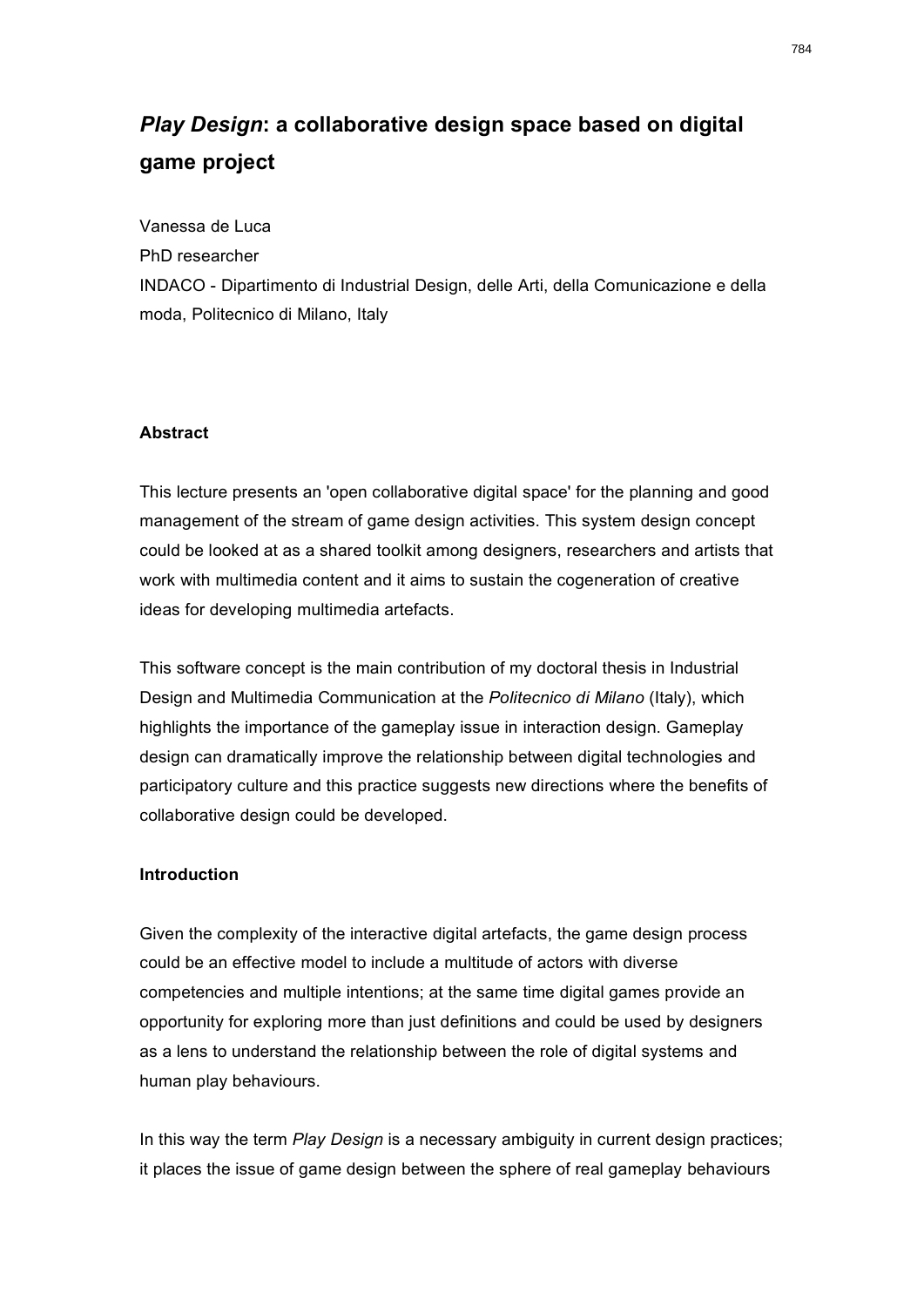# *Play Design***: a collaborative design space based on digital game project**

Vanessa de Luca

PhD researcher

INDACO - Dipartimento di Industrial Design, delle Arti, della Comunicazione e della moda, Politecnico di Milano, Italy

## **Abstract**

This lecture presents an 'open collaborative digital space' for the planning and good management of the stream of game design activities. This system design concept could be looked at as a shared toolkit among designers, researchers and artists that work with multimedia content and it aims to sustain the cogeneration of creative ideas for developing multimedia artefacts.

This software concept is the main contribution of my doctoral thesis in Industrial Design and Multimedia Communication at the *Politecnico di Milano* (Italy), which highlights the importance of the gameplay issue in interaction design. Gameplay design can dramatically improve the relationship between digital technologies and participatory culture and this practice suggests new directions where the benefits of collaborative design could be developed.

## **Introduction**

Given the complexity of the interactive digital artefacts, the game design process could be an effective model to include a multitude of actors with diverse competencies and multiple intentions; at the same time digital games provide an opportunity for exploring more than just definitions and could be used by designers as a lens to understand the relationship between the role of digital systems and human play behaviours.

In this way the term *Play Design* is a necessary ambiguity in current design practices; it places the issue of game design between the sphere of real gameplay behaviours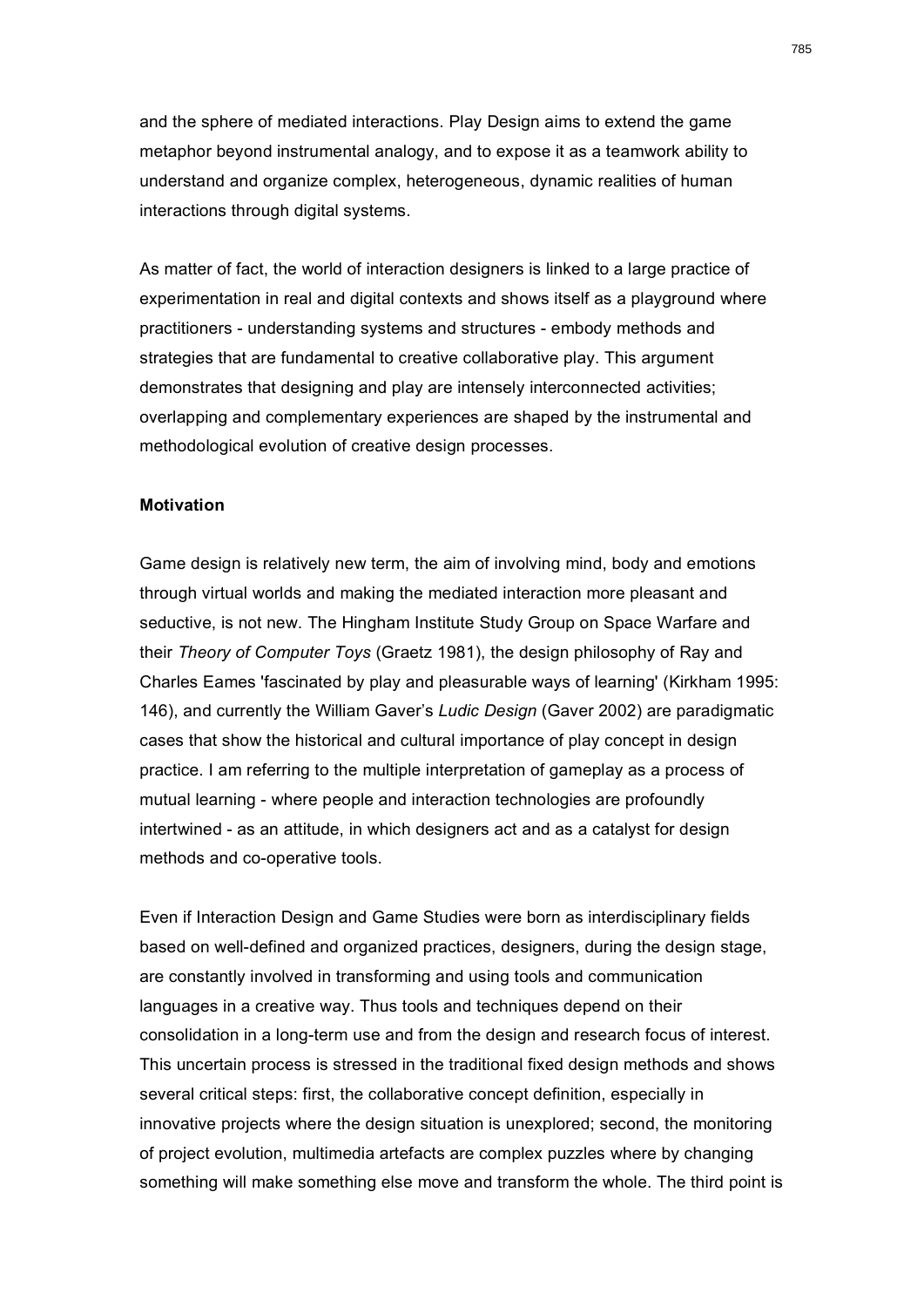and the sphere of mediated interactions. Play Design aims to extend the game metaphor beyond instrumental analogy, and to expose it as a teamwork ability to understand and organize complex, heterogeneous, dynamic realities of human interactions through digital systems.

As matter of fact, the world of interaction designers is linked to a large practice of experimentation in real and digital contexts and shows itself as a playground where practitioners - understanding systems and structures - embody methods and strategies that are fundamental to creative collaborative play. This argument demonstrates that designing and play are intensely interconnected activities; overlapping and complementary experiences are shaped by the instrumental and methodological evolution of creative design processes.

### **Motivation**

Game design is relatively new term, the aim of involving mind, body and emotions through virtual worlds and making the mediated interaction more pleasant and seductive, is not new. The Hingham Institute Study Group on Space Warfare and their *Theory of Computer Toys* (Graetz 1981), the design philosophy of Ray and Charles Eames 'fascinated by play and pleasurable ways of learning' (Kirkham 1995: 146), and currently the William Gaver's *Ludic Design* (Gaver 2002) are paradigmatic cases that show the historical and cultural importance of play concept in design practice. I am referring to the multiple interpretation of gameplay as a process of mutual learning - where people and interaction technologies are profoundly intertwined - as an attitude, in which designers act and as a catalyst for design methods and co-operative tools.

Even if Interaction Design and Game Studies were born as interdisciplinary fields based on well-defined and organized practices, designers, during the design stage, are constantly involved in transforming and using tools and communication languages in a creative way. Thus tools and techniques depend on their consolidation in a long-term use and from the design and research focus of interest. This uncertain process is stressed in the traditional fixed design methods and shows several critical steps: first, the collaborative concept definition, especially in innovative projects where the design situation is unexplored; second, the monitoring of project evolution, multimedia artefacts are complex puzzles where by changing something will make something else move and transform the whole. The third point is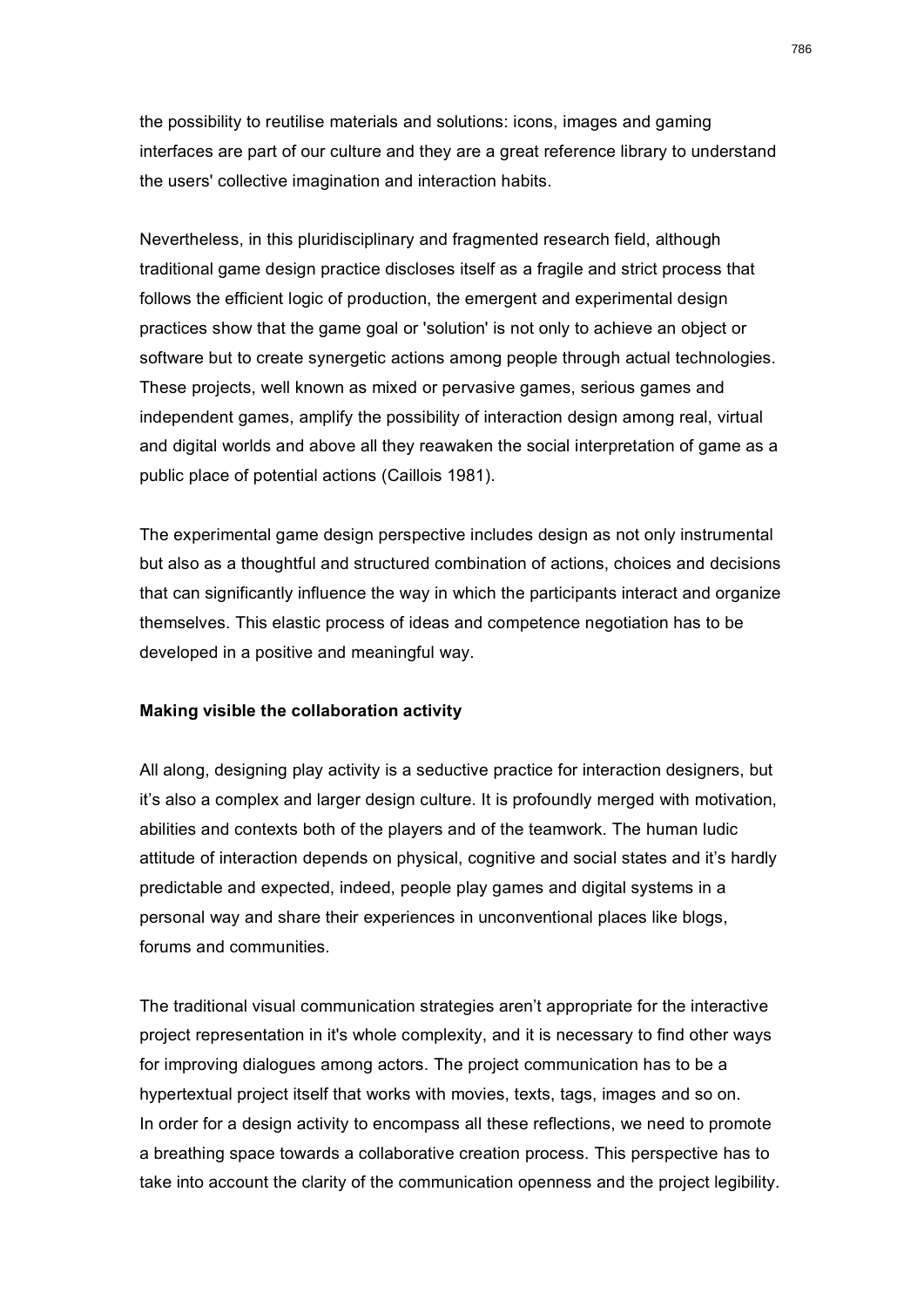the possibility to reutilise materials and solutions: icons, images and gaming interfaces are part of our culture and they are a great reference library to understand the users' collective imagination and interaction habits.

Nevertheless, in this pluridisciplinary and fragmented research field, although traditional game design practice discloses itself as a fragile and strict process that follows the efficient logic of production, the emergent and experimental design practices show that the game goal or 'solution' is not only to achieve an object or software but to create synergetic actions among people through actual technologies. These projects, well known as mixed or pervasive games, serious games and independent games, amplify the possibility of interaction design among real, virtual and digital worlds and above all they reawaken the social interpretation of game as a public place of potential actions (Caillois 1981).

The experimental game design perspective includes design as not only instrumental but also as a thoughtful and structured combination of actions, choices and decisions that can significantly influence the way in which the participants interact and organize themselves. This elastic process of ideas and competence negotiation has to be developed in a positive and meaningful way.

## **Making visible the collaboration activity**

All along, designing play activity is a seductive practice for interaction designers, but it's also a complex and larger design culture. It is profoundly merged with motivation, abilities and contexts both of the players and of the teamwork. The human ludic attitude of interaction depends on physical, cognitive and social states and it's hardly predictable and expected, indeed, people play games and digital systems in a personal way and share their experiences in unconventional places like blogs, forums and communities.

The traditional visual communication strategies aren't appropriate for the interactive project representation in it's whole complexity, and it is necessary to find other ways for improving dialogues among actors. The project communication has to be a hypertextual project itself that works with movies, texts, tags, images and so on. In order for a design activity to encompass all these reflections, we need to promote a breathing space towards a collaborative creation process. This perspective has to take into account the clarity of the communication openness and the project legibility.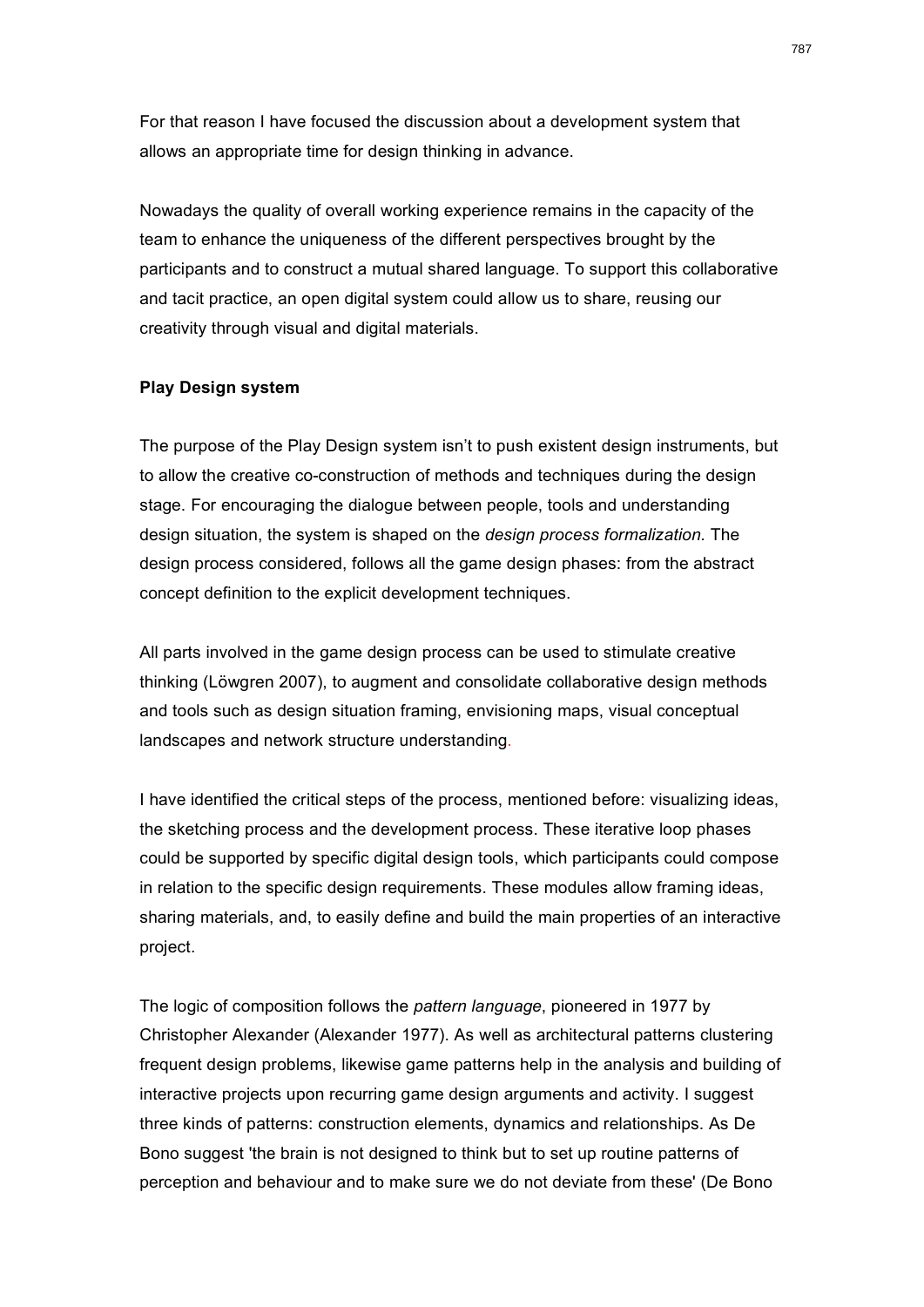For that reason I have focused the discussion about a development system that allows an appropriate time for design thinking in advance.

Nowadays the quality of overall working experience remains in the capacity of the team to enhance the uniqueness of the different perspectives brought by the participants and to construct a mutual shared language. To support this collaborative and tacit practice, an open digital system could allow us to share, reusing our creativity through visual and digital materials.

### **Play Design system**

The purpose of the Play Design system isn't to push existent design instruments, but to allow the creative co-construction of methods and techniques during the design stage. For encouraging the dialogue between people, tools and understanding design situation, the system is shaped on the *design process formalization.* The design process considered, follows all the game design phases: from the abstract concept definition to the explicit development techniques.

All parts involved in the game design process can be used to stimulate creative thinking (Löwgren 2007), to augment and consolidate collaborative design methods and tools such as design situation framing, envisioning maps, visual conceptual landscapes and network structure understanding.

I have identified the critical steps of the process, mentioned before: visualizing ideas, the sketching process and the development process. These iterative loop phases could be supported by specific digital design tools, which participants could compose in relation to the specific design requirements. These modules allow framing ideas, sharing materials, and, to easily define and build the main properties of an interactive project.

The logic of composition follows the *pattern language*, pioneered in 1977 by Christopher Alexander (Alexander 1977). As well as architectural patterns clustering frequent design problems, likewise game patterns help in the analysis and building of interactive projects upon recurring game design arguments and activity. I suggest three kinds of patterns: construction elements, dynamics and relationships. As De Bono suggest 'the brain is not designed to think but to set up routine patterns of perception and behaviour and to make sure we do not deviate from these' (De Bono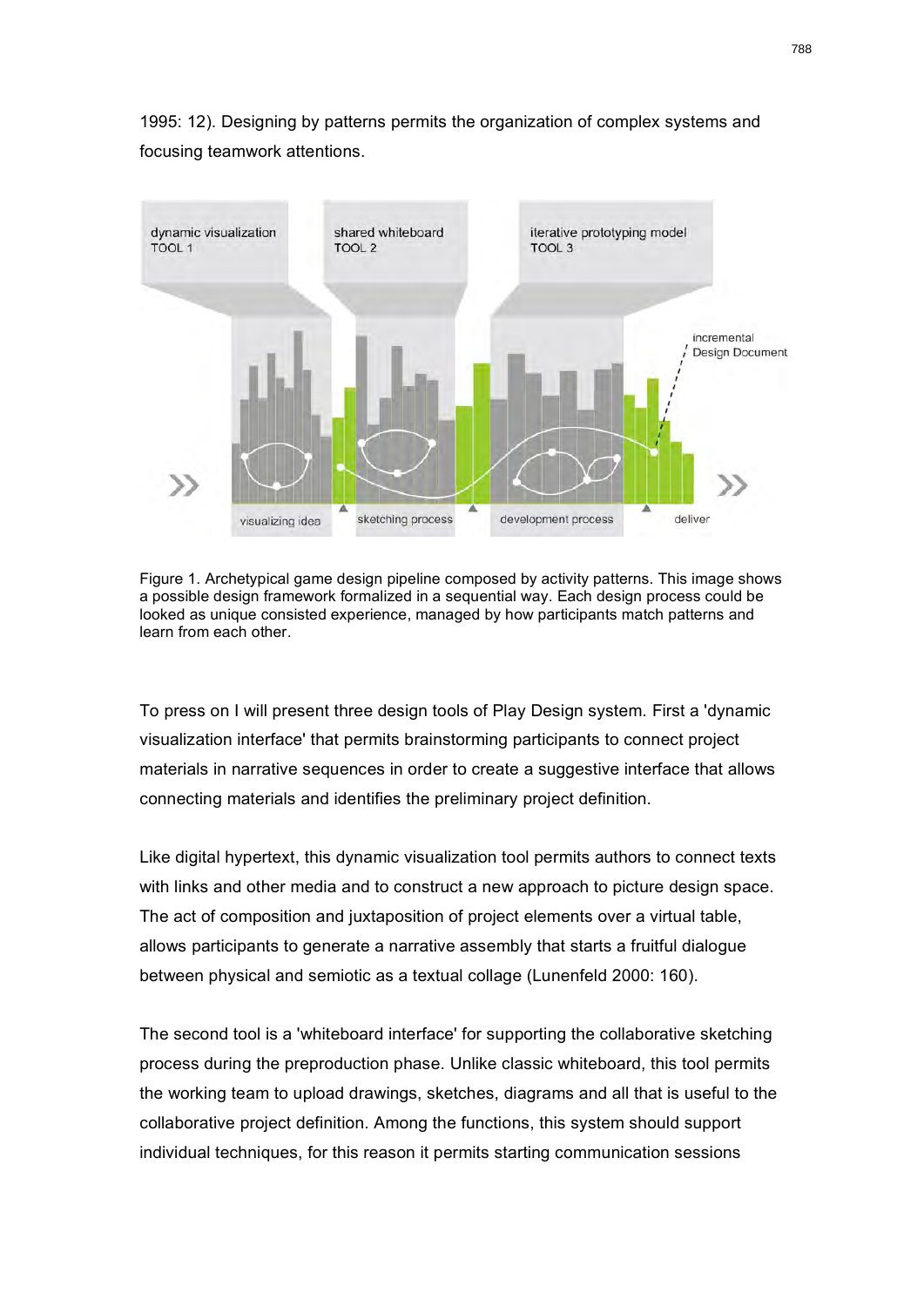1995: 12). Designing by patterns permits the organization of complex systems and focusing teamwork attentions.



Figure 1. Archetypical game design pipeline composed by activity patterns. This image shows a possible design framework formalized in a sequential way. Each design process could be looked as unique consisted experience, managed by how participants match patterns and learn from each other.

To press on I will present three design tools of Play Design system. First a 'dynamic visualization interface' that permits brainstorming participants to connect project materials in narrative sequences in order to create a suggestive interface that allows connecting materials and identifies the preliminary project definition.

Like digital hypertext, this dynamic visualization tool permits authors to connect texts with links and other media and to construct a new approach to picture design space. The act of composition and juxtaposition of project elements over a virtual table, allows participants to generate a narrative assembly that starts a fruitful dialogue between physical and semiotic as a textual collage (Lunenfeld 2000: 160).

The second tool is a 'whiteboard interface' for supporting the collaborative sketching process during the preproduction phase. Unlike classic whiteboard, this tool permits the working team to upload drawings, sketches, diagrams and all that is useful to the collaborative project definition. Among the functions, this system should support individual techniques, for this reason it permits starting communication sessions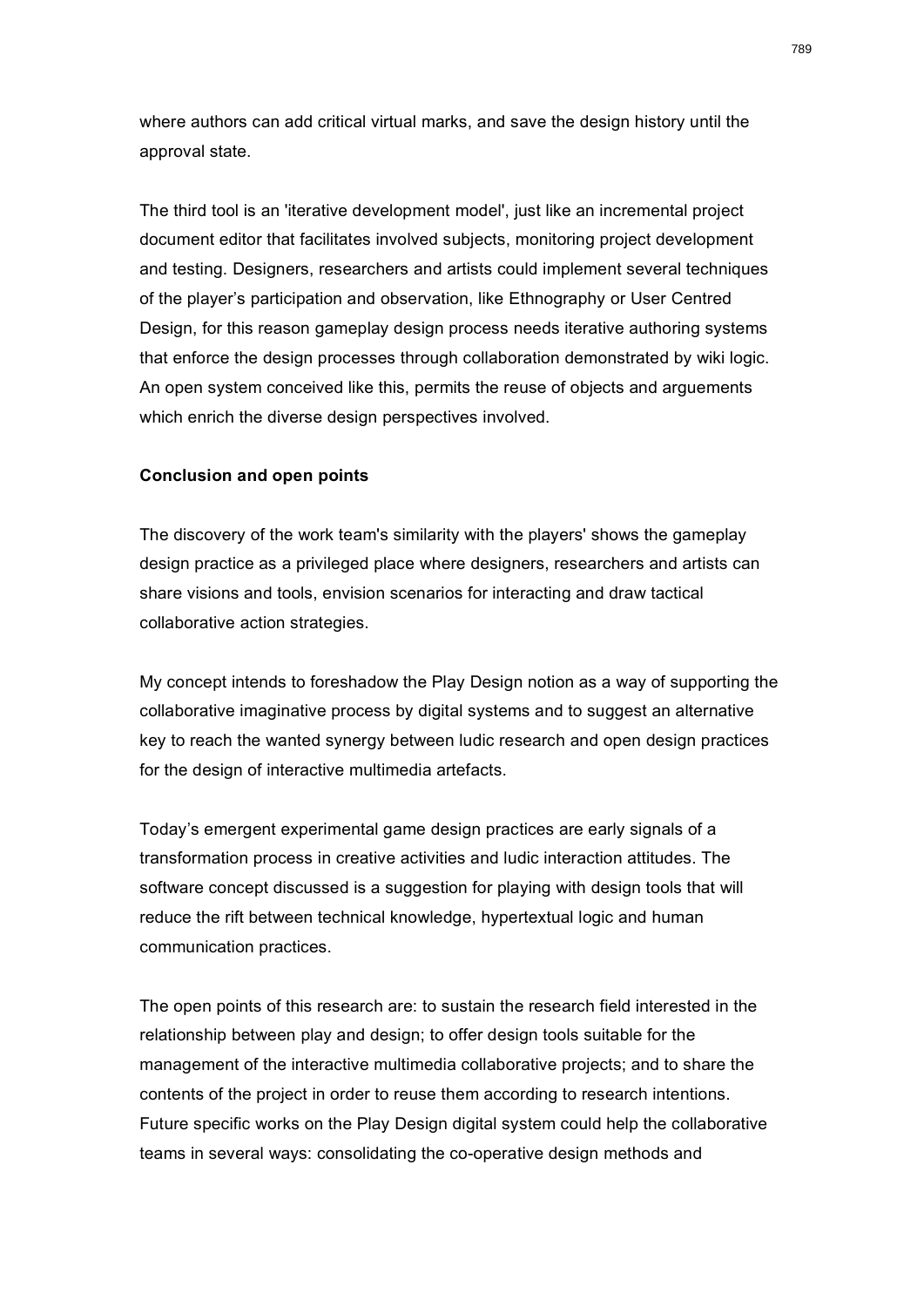where authors can add critical virtual marks, and save the design history until the approval state.

The third tool is an 'iterative development model', just like an incremental project document editor that facilitates involved subjects, monitoring project development and testing. Designers, researchers and artists could implement several techniques of the player's participation and observation, like Ethnography or User Centred Design, for this reason gameplay design process needs iterative authoring systems that enforce the design processes through collaboration demonstrated by wiki logic. An open system conceived like this, permits the reuse of objects and arguements which enrich the diverse design perspectives involved.

#### **Conclusion and open points**

The discovery of the work team's similarity with the players' shows the gameplay design practice as a privileged place where designers, researchers and artists can share visions and tools, envision scenarios for interacting and draw tactical collaborative action strategies.

My concept intends to foreshadow the Play Design notion as a way of supporting the collaborative imaginative process by digital systems and to suggest an alternative key to reach the wanted synergy between ludic research and open design practices for the design of interactive multimedia artefacts.

Today's emergent experimental game design practices are early signals of a transformation process in creative activities and ludic interaction attitudes. The software concept discussed is a suggestion for playing with design tools that will reduce the rift between technical knowledge, hypertextual logic and human communication practices.

The open points of this research are: to sustain the research field interested in the relationship between play and design; to offer design tools suitable for the management of the interactive multimedia collaborative projects; and to share the contents of the project in order to reuse them according to research intentions. Future specific works on the Play Design digital system could help the collaborative teams in several ways: consolidating the co-operative design methods and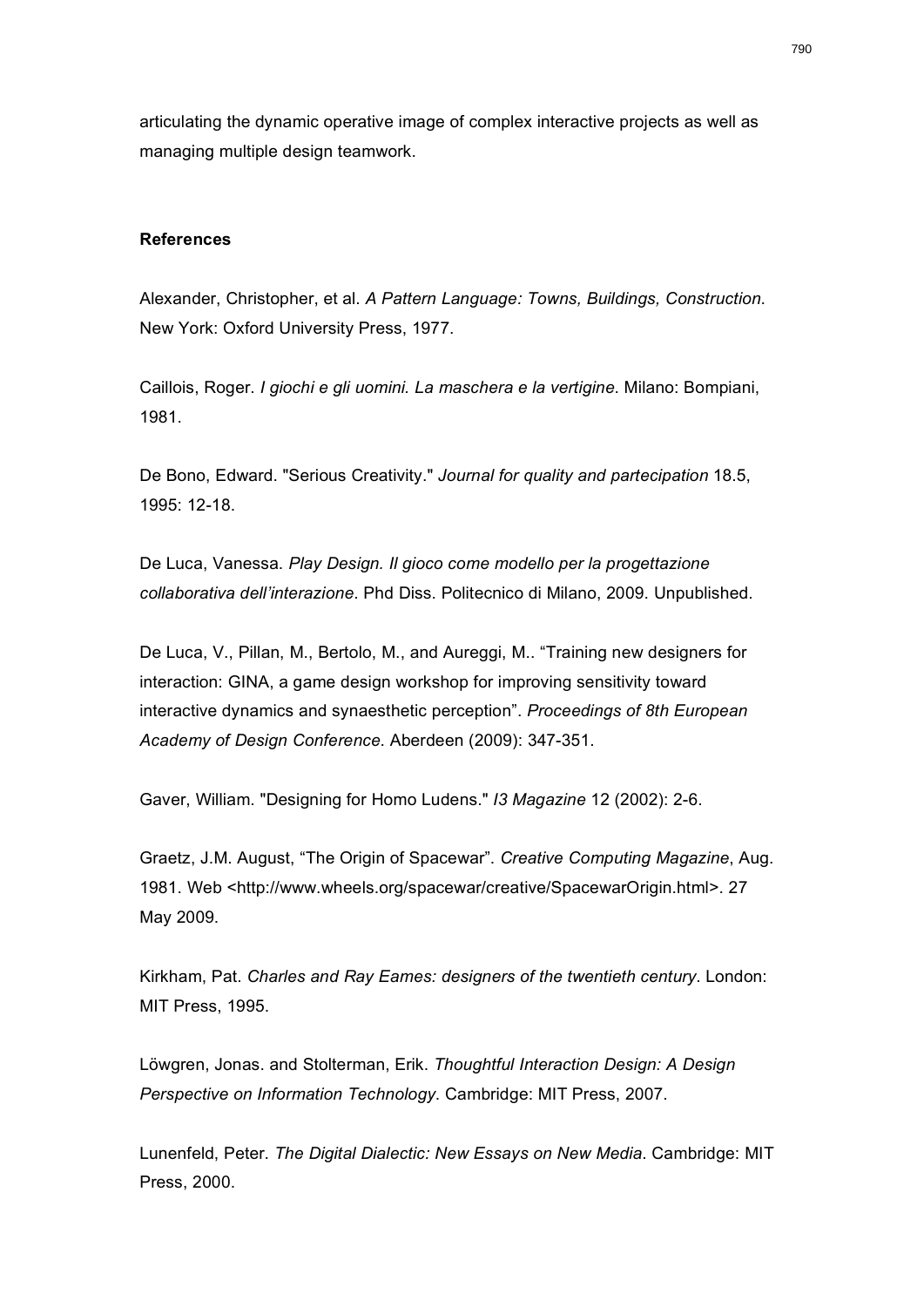articulating the dynamic operative image of complex interactive projects as well as managing multiple design teamwork.

#### **References**

Alexander, Christopher, et al. *A Pattern Language: Towns, Buildings, Construction*. New York: Oxford University Press, 1977.

Caillois, Roger. *I giochi e gli uomini. La maschera e la vertigine*. Milano: Bompiani, 1981.

De Bono, Edward. "Serious Creativity." *Journal for quality and partecipation* 18.5, 1995: 12-18.

De Luca, Vanessa. *Play Design. Il gioco come modello per la progettazione collaborativa dell'interazione*. Phd Diss. Politecnico di Milano, 2009. Unpublished.

De Luca, V., Pillan, M., Bertolo, M., and Aureggi, M.. "Training new designers for interaction: GINA, a game design workshop for improving sensitivity toward interactive dynamics and synaesthetic perception". *Proceedings of 8th European Academy of Design Conference*. Aberdeen (2009): 347-351.

Gaver, William. "Designing for Homo Ludens." *I3 Magazine* 12 (2002): 2-6.

Graetz, J.M. August, "The Origin of Spacewar". *Creative Computing Magazine*, Aug. 1981. Web <http://www.wheels.org/spacewar/creative/SpacewarOrigin.html>. 27 May 2009.

Kirkham, Pat. *Charles and Ray Eames: designers of the twentieth century*. London: MIT Press, 1995.

Löwgren, Jonas. and Stolterman, Erik. *Thoughtful Interaction Design: A Design Perspective on Information Technology*. Cambridge: MIT Press, 2007.

Lunenfeld, Peter. *The Digital Dialectic: New Essays on New Media*. Cambridge: MIT Press, 2000.